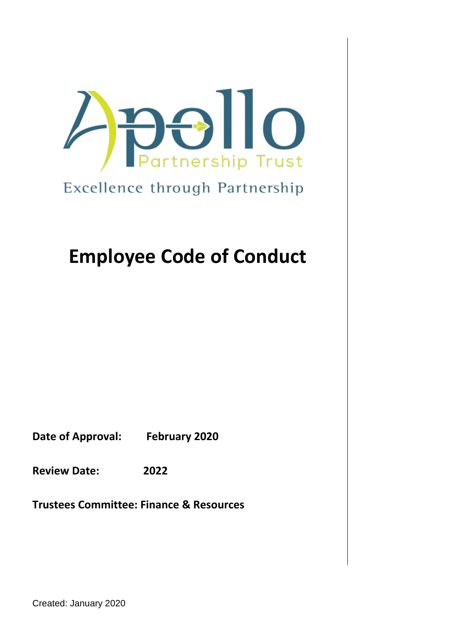

## Excellence through Partnership

# **Employee Code of Conduct**

**Date of Approval: February 2020**

**Review Date: 2022**

**Trustees Committee: Finance & Resources** 

Created: January 2020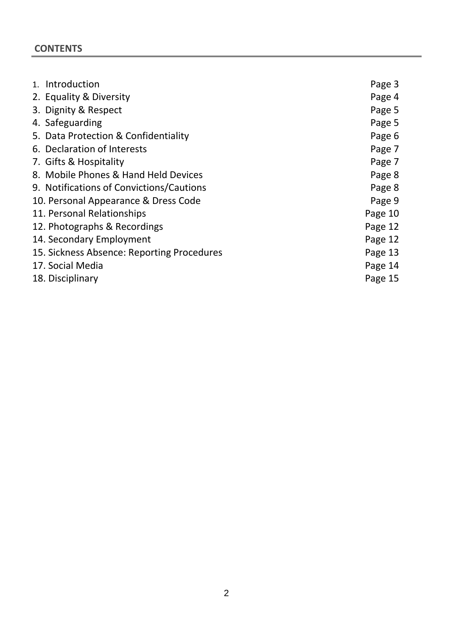## **CONTENTS**

| 1. Introduction                            | Page 3  |
|--------------------------------------------|---------|
| 2. Equality & Diversity                    | Page 4  |
| 3. Dignity & Respect                       | Page 5  |
| 4. Safeguarding                            | Page 5  |
| 5. Data Protection & Confidentiality       | Page 6  |
| 6. Declaration of Interests                | Page 7  |
| 7. Gifts & Hospitality                     | Page 7  |
| 8. Mobile Phones & Hand Held Devices       | Page 8  |
| 9. Notifications of Convictions/Cautions   | Page 8  |
| 10. Personal Appearance & Dress Code       | Page 9  |
| 11. Personal Relationships                 | Page 10 |
| 12. Photographs & Recordings               | Page 12 |
| 14. Secondary Employment                   | Page 12 |
| 15. Sickness Absence: Reporting Procedures | Page 13 |
| 17. Social Media                           | Page 14 |
| 18. Disciplinary                           | Page 15 |
|                                            |         |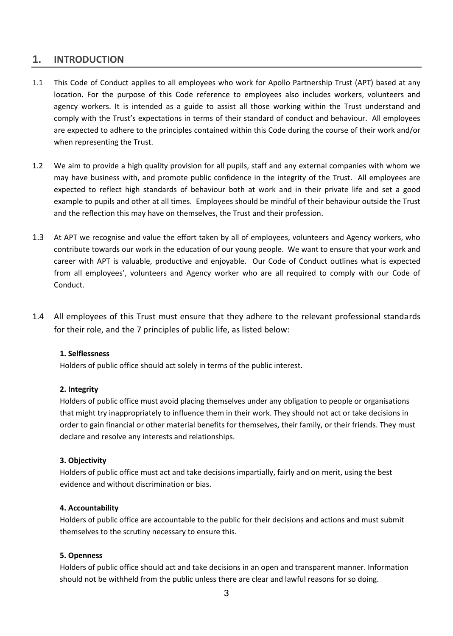#### **1. INTRODUCTION**

- 1.1 This Code of Conduct applies to all employees who work for Apollo Partnership Trust (APT) based at any location. For the purpose of this Code reference to employees also includes workers, volunteers and agency workers. It is intended as a guide to assist all those working within the Trust understand and comply with the Trust's expectations in terms of their standard of conduct and behaviour. All employees are expected to adhere to the principles contained within this Code during the course of their work and/or when representing the Trust.
- 1.2 We aim to provide a high quality provision for all pupils, staff and any external companies with whom we may have business with, and promote public confidence in the integrity of the Trust. All employees are expected to reflect high standards of behaviour both at work and in their private life and set a good example to pupils and other at all times. Employees should be mindful of their behaviour outside the Trust and the reflection this may have on themselves, the Trust and their profession.
- 1.3 At APT we recognise and value the effort taken by all of employees, volunteers and Agency workers, who contribute towards our work in the education of our young people. We want to ensure that your work and career with APT is valuable, productive and enjoyable. Our Code of Conduct outlines what is expected from all employees', volunteers and Agency worker who are all required to comply with our Code of Conduct.
- 1.4 All employees of this Trust must ensure that they adhere to the relevant professional standards for their role, and the 7 principles of public life, as listed below:

#### **1. Selflessness**

Holders of public office should act solely in terms of the public interest.

#### **2. Integrity**

Holders of public office must avoid placing themselves under any obligation to people or organisations that might try inappropriately to influence them in their work. They should not act or take decisions in order to gain financial or other material benefits for themselves, their family, or their friends. They must declare and resolve any interests and relationships.

#### **3. Objectivity**

Holders of public office must act and take decisions impartially, fairly and on merit, using the best evidence and without discrimination or bias.

#### **4. Accountability**

Holders of public office are accountable to the public for their decisions and actions and must submit themselves to the scrutiny necessary to ensure this.

#### **5. Openness**

Holders of public office should act and take decisions in an open and transparent manner. Information should not be withheld from the public unless there are clear and lawful reasons for so doing.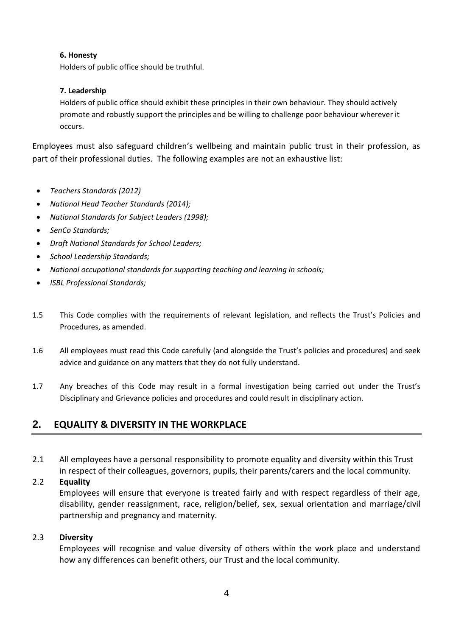#### **6. Honesty**

Holders of public office should be truthful.

#### **7. Leadership**

Holders of public office should exhibit these principles in their own behaviour. They should actively promote and robustly support the principles and be willing to challenge poor behaviour wherever it occurs.

Employees must also safeguard children's wellbeing and maintain public trust in their profession, as part of their professional duties. The following examples are not an exhaustive list:

- *Teachers Standards (2012)*
- *National Head Teacher Standards (2014);*
- *National Standards for Subject Leaders (1998);*
- *SenCo Standards;*
- *Draft National Standards for School Leaders;*
- *School Leadership Standards;*
- *National occupational standards for supporting teaching and learning in schools;*
- *ISBL Professional Standards;*
- 1.5 This Code complies with the requirements of relevant legislation, and reflects the Trust's Policies and Procedures, as amended.
- 1.6 All employees must read this Code carefully (and alongside the Trust's policies and procedures) and seek advice and guidance on any matters that they do not fully understand.
- 1.7 Any breaches of this Code may result in a formal investigation being carried out under the Trust's Disciplinary and Grievance policies and procedures and could result in disciplinary action.

## **2. EQUALITY & DIVERSITY IN THE WORKPLACE**

2.1 All employees have a personal responsibility to promote equality and diversity within this Trust in respect of their colleagues, governors, pupils, their parents/carers and the local community.

#### 2.2 **Equality**

Employees will ensure that everyone is treated fairly and with respect regardless of their age, disability, gender reassignment, race, religion/belief, sex, sexual orientation and marriage/civil partnership and pregnancy and maternity.

#### 2.3 **Diversity**

Employees will recognise and value diversity of others within the work place and understand how any differences can benefit others, our Trust and the local community.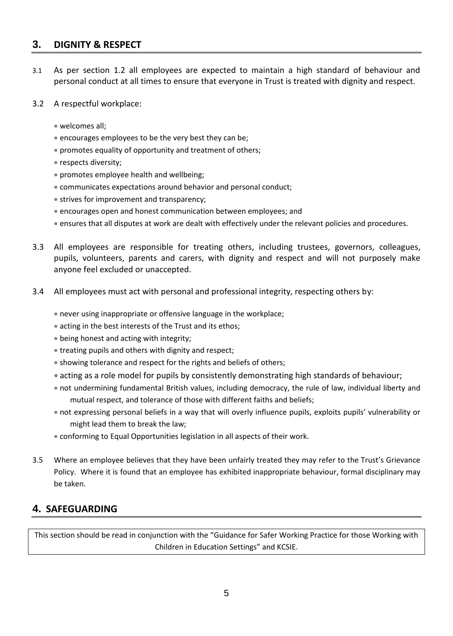### **3. DIGNITY & RESPECT**

- 3.1 As per section 1.2 all employees are expected to maintain a high standard of behaviour and personal conduct at all times to ensure that everyone in Trust is treated with dignity and respect.
- 3.2 A respectful workplace:
	- welcomes all;
	- encourages employees to be the very best they can be;
	- promotes equality of opportunity and treatment of others;
	- respects diversity;
	- promotes employee health and wellbeing;
	- communicates expectations around behavior and personal conduct;
	- strives for improvement and transparency;
	- encourages open and honest communication between employees; and
	- ensures that all disputes at work are dealt with effectively under the relevant policies and procedures.
- 3.3 All employees are responsible for treating others, including trustees, governors, colleagues, pupils, volunteers, parents and carers, with dignity and respect and will not purposely make anyone feel excluded or unaccepted.
- 3.4 All employees must act with personal and professional integrity, respecting others by:
	- never using inappropriate or offensive language in the workplace;
	- acting in the best interests of the Trust and its ethos;
	- being honest and acting with integrity;
	- treating pupils and others with dignity and respect;
	- showing tolerance and respect for the rights and beliefs of others;
	- acting as a role model for pupils by consistently demonstrating high standards of behaviour;
	- not undermining fundamental British values, including democracy, the rule of law, individual liberty and mutual respect, and tolerance of those with different faiths and beliefs;
	- not expressing personal beliefs in a way that will overly influence pupils, exploits pupils' vulnerability or might lead them to break the law;
	- conforming to Equal Opportunities legislation in all aspects of their work.
- 3.5 Where an employee believes that they have been unfairly treated they may refer to the Trust's Grievance Policy. Where it is found that an employee has exhibited inappropriate behaviour, formal disciplinary may be taken.

## **4. SAFEGUARDING**

This section should be read in conjunction with the "Guidance for Safer Working Practice for those Working with Children in Education Settings" and KCSIE.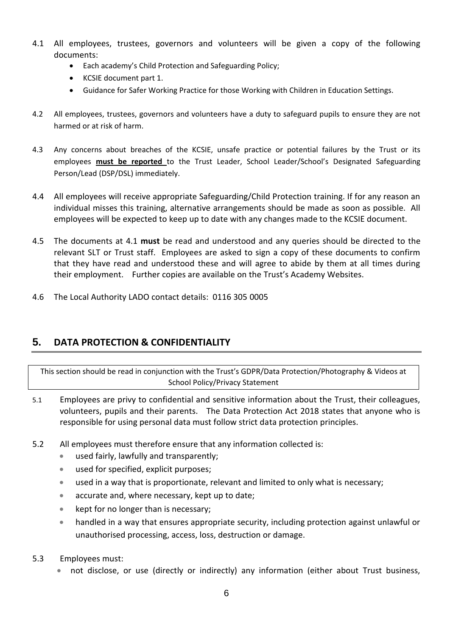- 4.1 All employees, trustees, governors and volunteers will be given a copy of the following documents:
	- Each academy's Child Protection and Safeguarding Policy;
	- KCSIE document part 1.
	- Guidance for Safer Working Practice for those Working with Children in Education Settings.
- 4.2 All employees, trustees, governors and volunteers have a duty to safeguard pupils to ensure they are not harmed or at risk of harm.
- 4.3 Any concerns about breaches of the KCSIE, unsafe practice or potential failures by the Trust or its employees **must be reported** to the Trust Leader, School Leader/School's Designated Safeguarding Person/Lead (DSP/DSL) immediately.
- 4.4 All employees will receive appropriate Safeguarding/Child Protection training. If for any reason an individual misses this training, alternative arrangements should be made as soon as possible. All employees will be expected to keep up to date with any changes made to the KCSIE document.
- 4.5 The documents at 4.1 **must** be read and understood and any queries should be directed to the relevant SLT or Trust staff. Employees are asked to sign a copy of these documents to confirm that they have read and understood these and will agree to abide by them at all times during their employment. Further copies are available on the Trust's Academy Websites.
- 4.6 The Local Authority LADO contact details: 0116 305 0005

## **5. DATA PROTECTION & CONFIDENTIALITY**

This section should be read in conjunction with the Trust's GDPR/Data Protection/Photography & Videos at School Policy/Privacy Statement

- 5.1 Employees are privy to confidential and sensitive information about the Trust, their colleagues, volunteers, pupils and their parents. The Data Protection Act 2018 states that anyone who is responsible for using personal data must follow strict data protection principles.
- 5.2 All employees must therefore ensure that any information collected is:
	- used fairly, lawfully and transparently;
	- used for specified, explicit purposes;
	- used in a way that is proportionate, relevant and limited to only what is necessary;
	- accurate and, where necessary, kept up to date;
	- kept for no longer than is necessary;
	- handled in a way that ensures appropriate security, including protection against unlawful or unauthorised processing, access, loss, destruction or damage.
- 5.3 Employees must:
	- not disclose, or use (directly or indirectly) any information (either about Trust business,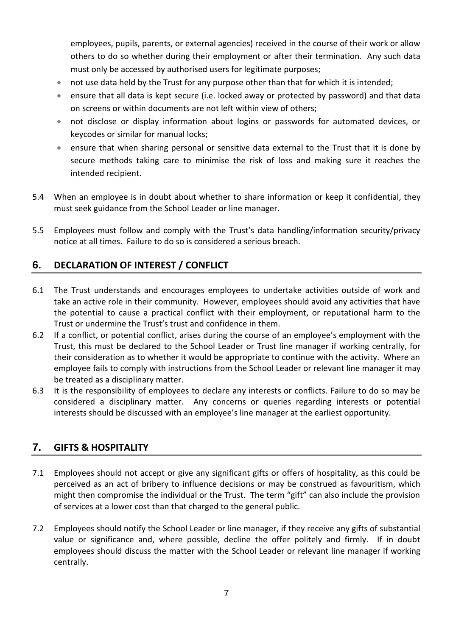employees, pupils, parents, or external agencies) received in the course of their work or allow others to do so whether during their employment or after their termination. Any such data must only be accessed by authorised users for legitimate purposes;

- not use data held by the Trust for any purpose other than that for which it is intended;
- ensure that all data is kept secure (i.e. locked away or protected by password) and that data on screens or within documents are not left within view of others;
- not disclose or display information about logins or passwords for automated devices, or keycodes or similar for manual locks;
- ensure that when sharing personal or sensitive data external to the Trust that it is done by secure methods taking care to minimise the risk of loss and making sure it reaches the intended recipient.
- 5.4 When an employee is in doubt about whether to share information or keep it confidential, they must seek guidance from the School Leader or line manager.
- 5.5 Employees must follow and comply with the Trust's data handling/information security/privacy notice at all times. Failure to do so is considered a serious breach.

## **6. DECLARATION OF INTEREST / CONFLICT**

- 6.1 The Trust understands and encourages employees to undertake activities outside of work and take an active role in their community. However, employees should avoid any activities that have the potential to cause a practical conflict with their employment, or reputational harm to the Trust or undermine the Trust's trust and confidence in them.
- 6.2 If a conflict, or potential conflict, arises during the course of an employee's employment with the Trust, this must be declared to the School Leader or Trust line manager if working centrally, for their consideration as to whether it would be appropriate to continue with the activity. Where an employee fails to comply with instructions from the School Leader or relevant line manager it may be treated as a disciplinary matter.
- 6.3 It is the responsibility of employees to declare any interests or conflicts. Failure to do so may be considered a disciplinary matter. Any concerns or queries regarding interests or potential interests should be discussed with an employee's line manager at the earliest opportunity.

## **7. GIFTS & HOSPITALITY**

- 7.1 Employees should not accept or give any significant gifts or offers of hospitality, as this could be perceived as an act of bribery to influence decisions or may be construed as favouritism, which might then compromise the individual or the Trust. The term "gift" can also include the provision of services at a lower cost than that charged to the general public.
- 7.2 Employees should notify the School Leader or line manager, if they receive any gifts of substantial value or significance and, where possible, decline the offer politely and firmly. If in doubt employees should discuss the matter with the School Leader or relevant line manager if working centrally.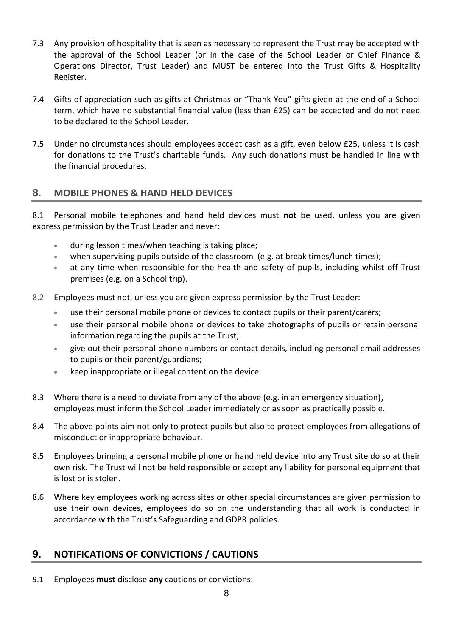- 7.3 Any provision of hospitality that is seen as necessary to represent the Trust may be accepted with the approval of the School Leader (or in the case of the School Leader or Chief Finance & Operations Director, Trust Leader) and MUST be entered into the Trust Gifts & Hospitality Register.
- 7.4 Gifts of appreciation such as gifts at Christmas or "Thank You" gifts given at the end of a School term, which have no substantial financial value (less than £25) can be accepted and do not need to be declared to the School Leader.
- 7.5 Under no circumstances should employees accept cash as a gift, even below £25, unless it is cash for donations to the Trust's charitable funds. Any such donations must be handled in line with the financial procedures.

## **8. MOBILE PHONES & HAND HELD DEVICES**

8.1 Personal mobile telephones and hand held devices must **not** be used, unless you are given express permission by the Trust Leader and never:

- during lesson times/when teaching is taking place;
- when supervising pupils outside of the classroom (e.g. at break times/lunch times);
- at any time when responsible for the health and safety of pupils, including whilst off Trust premises (e.g. on a School trip).
- 8.2 Employees must not, unless you are given express permission by the Trust Leader:
	- use their personal mobile phone or devices to contact pupils or their parent/carers;
	- use their personal mobile phone or devices to take photographs of pupils or retain personal information regarding the pupils at the Trust;
	- give out their personal phone numbers or contact details, including personal email addresses to pupils or their parent/guardians;
	- **keep inappropriate or illegal content on the device.**
- 8.3 Where there is a need to deviate from any of the above (e.g. in an emergency situation), employees must inform the School Leader immediately or as soon as practically possible.
- 8.4 The above points aim not only to protect pupils but also to protect employees from allegations of misconduct or inappropriate behaviour.
- 8.5 Employees bringing a personal mobile phone or hand held device into any Trust site do so at their own risk. The Trust will not be held responsible or accept any liability for personal equipment that is lost or is stolen.
- 8.6 Where key employees working across sites or other special circumstances are given permission to use their own devices, employees do so on the understanding that all work is conducted in accordance with the Trust's Safeguarding and GDPR policies.

## **9. NOTIFICATIONS OF CONVICTIONS / CAUTIONS**

9.1 Employees **must** disclose **any** cautions or convictions: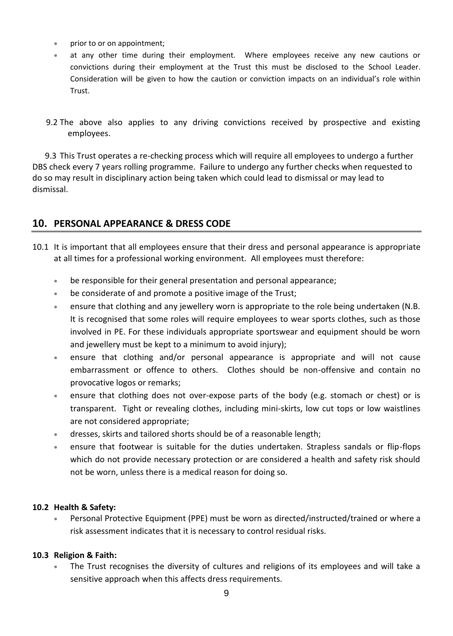- prior to or on appointment;
- at any other time during their employment. Where employees receive any new cautions or convictions during their employment at the Trust this must be disclosed to the School Leader. Consideration will be given to how the caution or conviction impacts on an individual's role within Trust.
- 9.2 The above also applies to any driving convictions received by prospective and existing employees.

 9.3 This Trust operates a re-checking process which will require all employees to undergo a further DBS check every 7 years rolling programme. Failure to undergo any further checks when requested to do so may result in disciplinary action being taken which could lead to dismissal or may lead to dismissal.

## **10. PERSONAL APPEARANCE & DRESS CODE**

- 10.1 It is important that all employees ensure that their dress and personal appearance is appropriate at all times for a professional working environment. All employees must therefore:
	- be responsible for their general presentation and personal appearance;
	- be considerate of and promote a positive image of the Trust;
	- ensure that clothing and any jewellery worn is appropriate to the role being undertaken (N.B. It is recognised that some roles will require employees to wear sports clothes, such as those involved in PE. For these individuals appropriate sportswear and equipment should be worn and jewellery must be kept to a minimum to avoid injury);
	- ensure that clothing and/or personal appearance is appropriate and will not cause embarrassment or offence to others. Clothes should be non-offensive and contain no provocative logos or remarks;
	- ensure that clothing does not over-expose parts of the body (e.g. stomach or chest) or is transparent. Tight or revealing clothes, including mini-skirts, low cut tops or low waistlines are not considered appropriate;
	- dresses, skirts and tailored shorts should be of a reasonable length;
	- ensure that footwear is suitable for the duties undertaken. Strapless sandals or flip-flops which do not provide necessary protection or are considered a health and safety risk should not be worn, unless there is a medical reason for doing so.

#### **10.2 Health & Safety:**

 Personal Protective Equipment (PPE) must be worn as directed/instructed/trained or where a risk assessment indicates that it is necessary to control residual risks.

#### **10.3 Religion & Faith:**

 The Trust recognises the diversity of cultures and religions of its employees and will take a sensitive approach when this affects dress requirements.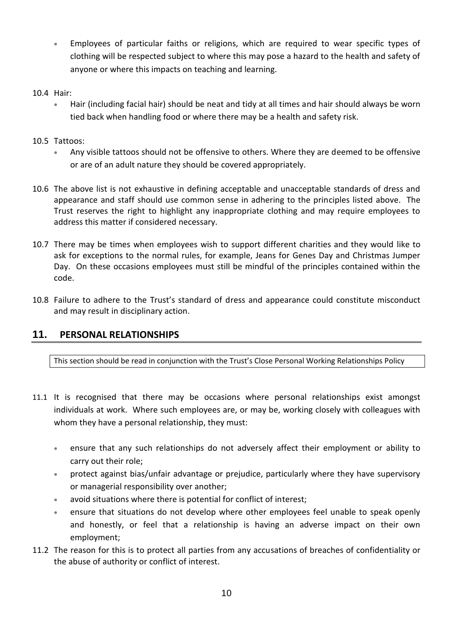Employees of particular faiths or religions, which are required to wear specific types of clothing will be respected subject to where this may pose a hazard to the health and safety of anyone or where this impacts on teaching and learning.

#### 10.4 Hair:

 Hair (including facial hair) should be neat and tidy at all times and hair should always be worn tied back when handling food or where there may be a health and safety risk.

#### 10.5 Tattoos:

- Any visible tattoos should not be offensive to others. Where they are deemed to be offensive or are of an adult nature they should be covered appropriately.
- 10.6 The above list is not exhaustive in defining acceptable and unacceptable standards of dress and appearance and staff should use common sense in adhering to the principles listed above. The Trust reserves the right to highlight any inappropriate clothing and may require employees to address this matter if considered necessary.
- 10.7 There may be times when employees wish to support different charities and they would like to ask for exceptions to the normal rules, for example, Jeans for Genes Day and Christmas Jumper Day. On these occasions employees must still be mindful of the principles contained within the code.
- 10.8 Failure to adhere to the Trust's standard of dress and appearance could constitute misconduct and may result in disciplinary action.

#### **11. PERSONAL RELATIONSHIPS**

This section should be read in conjunction with the Trust's Close Personal Working Relationships Policy

- 11.1 It is recognised that there may be occasions where personal relationships exist amongst individuals at work. Where such employees are, or may be, working closely with colleagues with whom they have a personal relationship, they must:
	- ensure that any such relationships do not adversely affect their employment or ability to carry out their role;
	- protect against bias/unfair advantage or prejudice, particularly where they have supervisory or managerial responsibility over another;
	- avoid situations where there is potential for conflict of interest;
	- ensure that situations do not develop where other employees feel unable to speak openly and honestly, or feel that a relationship is having an adverse impact on their own employment;
- 11.2 The reason for this is to protect all parties from any accusations of breaches of confidentiality or the abuse of authority or conflict of interest.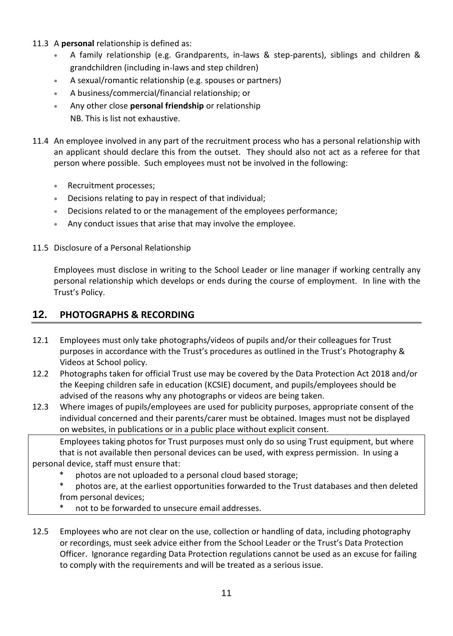- 11.3 A **personal** relationship is defined as:
	- A family relationship (e.g. Grandparents, in-laws & step-parents), siblings and children & grandchildren (including in-laws and step children)
	- A sexual/romantic relationship (e.g. spouses or partners)
	- A business/commercial/financial relationship; or
	- Any other close **personal friendship** or relationship NB. This is list not exhaustive.
- 11.4 An employee involved in any part of the recruitment process who has a personal relationship with an applicant should declare this from the outset. They should also not act as a referee for that person where possible. Such employees must not be involved in the following:
	- Recruitment processes;
	- Decisions relating to pay in respect of that individual;
	- Decisions related to or the management of the employees performance;
	- Any conduct issues that arise that may involve the employee.

#### 11.5 Disclosure of a Personal Relationship

Employees must disclose in writing to the School Leader or line manager if working centrally any personal relationship which develops or ends during the course of employment. In line with the Trust's Policy.

## **12. PHOTOGRAPHS & RECORDING**

- 12.1 Employees must only take photographs/videos of pupils and/or their colleagues for Trust purposes in accordance with the Trust's procedures as outlined in the Trust's Photography & Videos at School policy.
- 12.2 Photographs taken for official Trust use may be covered by the Data Protection Act 2018 and/or the Keeping children safe in education (KCSIE) document, and pupils/employees should be advised of the reasons why any photographs or videos are being taken.
- 12.3 Where images of pupils/employees are used for publicity purposes, appropriate consent of the individual concerned and their parents/carer must be obtained. Images must not be displayed on websites, in publications or in a public place without explicit consent.

Employees taking photos for Trust purposes must only do so using Trust equipment, but where that is not available then personal devices can be used, with express permission. In using a personal device, staff must ensure that:

- photos are not uploaded to a personal cloud based storage;
- photos are, at the earliest opportunities forwarded to the Trust databases and then deleted from personal devices;
- not to be forwarded to unsecure email addresses.
- 12.5 Employees who are not clear on the use, collection or handling of data, including photography or recordings, must seek advice either from the School Leader or the Trust's Data Protection Officer. Ignorance regarding Data Protection regulations cannot be used as an excuse for failing to comply with the requirements and will be treated as a serious issue.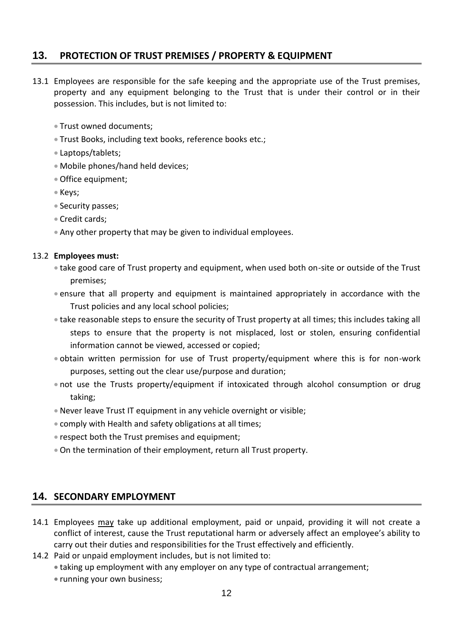## **13. PROTECTION OF TRUST PREMISES / PROPERTY & EQUIPMENT**

- 13.1 Employees are responsible for the safe keeping and the appropriate use of the Trust premises, property and any equipment belonging to the Trust that is under their control or in their possession. This includes, but is not limited to:
	- Trust owned documents;
	- Trust Books, including text books, reference books etc.;
	- Laptops/tablets;
	- Mobile phones/hand held devices;
	- Office equipment;
	- Keys;
	- Security passes;
	- Credit cards;
	- Any other property that may be given to individual employees.

#### 13.2 **Employees must:**

- take good care of Trust property and equipment, when used both on-site or outside of the Trust premises;
- ensure that all property and equipment is maintained appropriately in accordance with the Trust policies and any local school policies;
- take reasonable steps to ensure the security of Trust property at all times; this includes taking all steps to ensure that the property is not misplaced, lost or stolen, ensuring confidential information cannot be viewed, accessed or copied;
- obtain written permission for use of Trust property/equipment where this is for non-work purposes, setting out the clear use/purpose and duration;
- not use the Trusts property/equipment if intoxicated through alcohol consumption or drug taking;
- Never leave Trust IT equipment in any vehicle overnight or visible;
- comply with Health and safety obligations at all times;
- respect both the Trust premises and equipment;
- On the termination of their employment, return all Trust property.

#### **14. SECONDARY EMPLOYMENT**

- 14.1 Employees may take up additional employment, paid or unpaid, providing it will not create a conflict of interest, cause the Trust reputational harm or adversely affect an employee's ability to carry out their duties and responsibilities for the Trust effectively and efficiently.
- 14.2 Paid or unpaid employment includes, but is not limited to:
	- taking up employment with any employer on any type of contractual arrangement;
	- running your own business;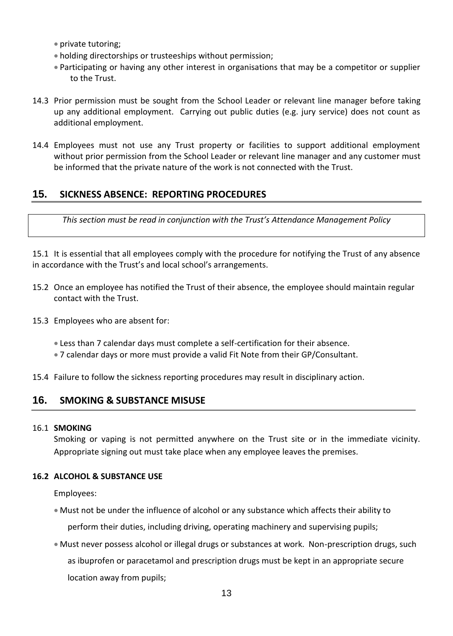- private tutoring:
- holding directorships or trusteeships without permission;
- Participating or having any other interest in organisations that may be a competitor or supplier to the Trust.
- 14.3 Prior permission must be sought from the School Leader or relevant line manager before taking up any additional employment. Carrying out public duties (e.g. jury service) does not count as additional employment.
- 14.4 Employees must not use any Trust property or facilities to support additional employment without prior permission from the School Leader or relevant line manager and any customer must be informed that the private nature of the work is not connected with the Trust.

## **15. SICKNESS ABSENCE: REPORTING PROCEDURES**

*This section must be read in conjunction with the Trust's Attendance Management Policy*

15.1 It is essential that all employees comply with the procedure for notifying the Trust of any absence in accordance with the Trust's and local school's arrangements.

- 15.2 Once an employee has notified the Trust of their absence, the employee should maintain regular contact with the Trust.
- 15.3 Employees who are absent for:
	- Less than 7 calendar days must complete a self-certification for their absence.
	- 7 calendar days or more must provide a valid Fit Note from their GP/Consultant.
- 15.4 Failure to follow the sickness reporting procedures may result in disciplinary action.

## **16. SMOKING & SUBSTANCE MISUSE**

#### 16.1 **SMOKING**

Smoking or vaping is not permitted anywhere on the Trust site or in the immediate vicinity. Appropriate signing out must take place when any employee leaves the premises.

#### **16.2 ALCOHOL & SUBSTANCE USE**

Employees:

- Must not be under the influence of alcohol or any substance which affects their ability to perform their duties, including driving, operating machinery and supervising pupils;
- Must never possess alcohol or illegal drugs or substances at work. Non-prescription drugs, such as ibuprofen or paracetamol and prescription drugs must be kept in an appropriate secure location away from pupils;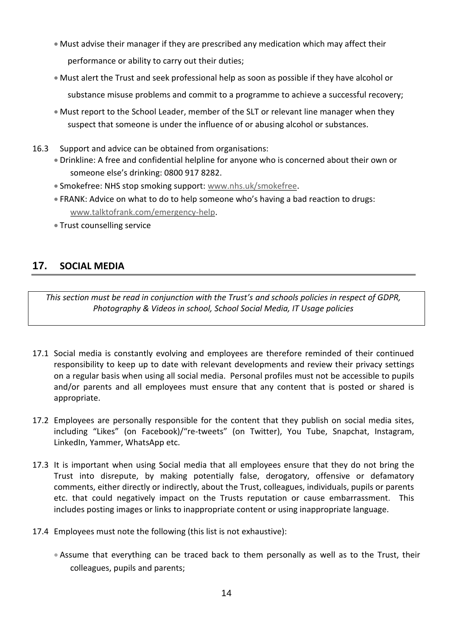- Must advise their manager if they are prescribed any medication which may affect their performance or ability to carry out their duties;
- Must alert the Trust and seek professional help as soon as possible if they have alcohol or substance misuse problems and commit to a programme to achieve a successful recovery;
- Must report to the School Leader, member of the SLT or relevant line manager when they suspect that someone is under the influence of or abusing alcohol or substances.
- 16.3 Support and advice can be obtained from organisations:
	- Drinkline: A free and confidential helpline for anyone who is concerned about their own or someone else's drinking: 0800 917 8282.
	- Smokefree: NHS stop smoking support: [www.nhs.uk/smokefree.](http://www.nhs.uk/smokefree)
	- FRANK: Advice on what to do to help someone who's having a bad reaction to drugs: [www.talktofrank.com/emergency-help.](http://www.talktofrank.com/emergency-help)
	- Trust counselling service

## **17. SOCIAL MEDIA**

*This section must be read in conjunction with the Trust's and schools policies in respect of GDPR, Photography & Videos in school, School Social Media, IT Usage policies*

- 17.1 Social media is constantly evolving and employees are therefore reminded of their continued responsibility to keep up to date with relevant developments and review their privacy settings on a regular basis when using all social media. Personal profiles must not be accessible to pupils and/or parents and all employees must ensure that any content that is posted or shared is appropriate.
- 17.2 Employees are personally responsible for the content that they publish on social media sites, including "Likes" (on Facebook)/"re-tweets" (on Twitter), You Tube, Snapchat, Instagram, LinkedIn, Yammer, WhatsApp etc.
- 17.3 It is important when using Social media that all employees ensure that they do not bring the Trust into disrepute, by making potentially false, derogatory, offensive or defamatory comments, either directly or indirectly, about the Trust, colleagues, individuals, pupils or parents etc. that could negatively impact on the Trusts reputation or cause embarrassment. This includes posting images or links to inappropriate content or using inappropriate language.
- 17.4 Employees must note the following (this list is not exhaustive):
	- Assume that everything can be traced back to them personally as well as to the Trust, their colleagues, pupils and parents;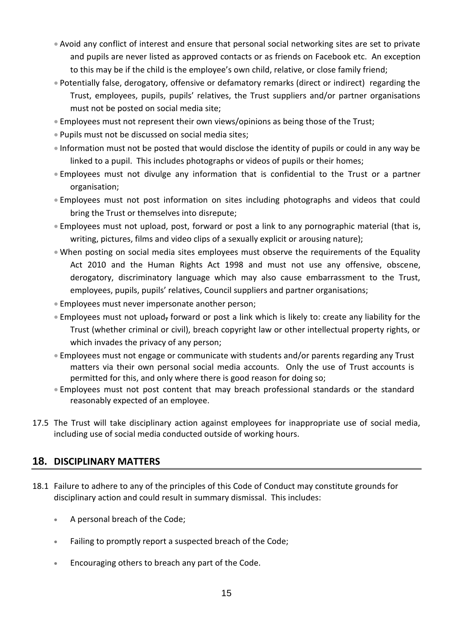- Avoid any conflict of interest and ensure that personal social networking sites are set to private and pupils are never listed as approved contacts or as friends on Facebook etc. An exception to this may be if the child is the employee's own child, relative, or close family friend;
- Potentially false, derogatory, offensive or defamatory remarks (direct or indirect) regarding the Trust, employees, pupils, pupils' relatives, the Trust suppliers and/or partner organisations must not be posted on social media site;
- Employees must not represent their own views/opinions as being those of the Trust;
- Pupils must not be discussed on social media sites;
- Information must not be posted that would disclose the identity of pupils or could in any way be linked to a pupil. This includes photographs or videos of pupils or their homes;
- Employees must not divulge any information that is confidential to the Trust or a partner organisation;
- Employees must not post information on sites including photographs and videos that could bring the Trust or themselves into disrepute;
- Employees must not upload, post, forward or post a link to any pornographic material (that is, writing, pictures, films and video clips of a sexually explicit or arousing nature);
- When posting on social media sites employees must observe the requirements of the Equality Act 2010 and the Human Rights Act 1998 and must not use any offensive, obscene, derogatory, discriminatory language which may also cause embarrassment to the Trust, employees, pupils, pupils' relatives, Council suppliers and partner organisations;
- Employees must never impersonate another person;
- **Employees must not upload, forward or post a link which is likely to: create any liability for the** Trust (whether criminal or civil), breach copyright law or other intellectual property rights, or which invades the privacy of any person;
- Employees must not engage or communicate with students and/or parents regarding any Trust matters via their own personal social media accounts. Only the use of Trust accounts is permitted for this, and only where there is good reason for doing so;
- Employees must not post content that may breach professional standards or the standard reasonably expected of an employee.
- 17.5 The Trust will take disciplinary action against employees for inappropriate use of social media, including use of social media conducted outside of working hours.

## **18. DISCIPLINARY MATTERS**

- 18.1 Failure to adhere to any of the principles of this Code of Conduct may constitute grounds for disciplinary action and could result in summary dismissal. This includes:
	- A personal breach of the Code;
	- Failing to promptly report a suspected breach of the Code;
	- **Encouraging others to breach any part of the Code.**